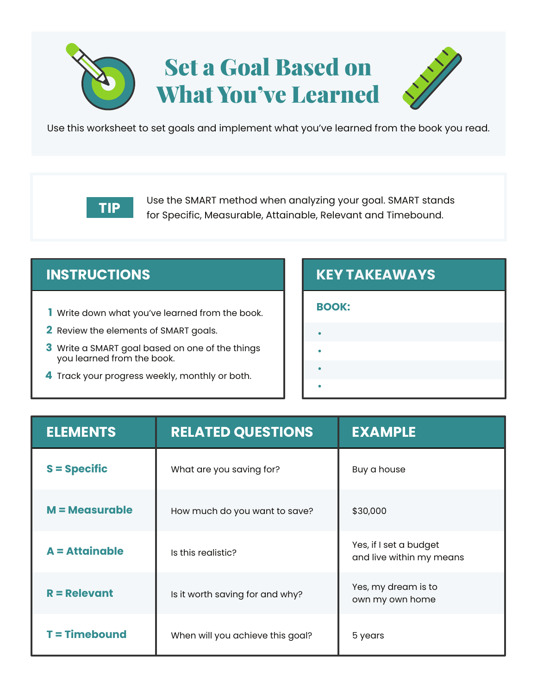# Set a Goal Based on What You've Learned



Use this worksheet to set goals and implement what you've learned from the book you read.

Use the SMART method when analyzing your goal. SMART stands for Specific, Measurable, Attainable, Relevant and Timebound. **TIP**

- Write down what you've learned from the book. **1**
- Review the elements of SMART goals. **2**
- Write a SMART goal based on one of the things **3** you learned from the book.
- Track your progress weekly, monthly or both. **4**

## **INSTRUCTIONS KEY TAKEAWAYS**

### **BOOK:**

**•**

**•**

**•**

- 
- **•**
- 
- -

| <b>ELEMENTS</b>  | <b>RELATED QUESTIONS</b>         | <b>EXAMPLE</b>                                     |
|------------------|----------------------------------|----------------------------------------------------|
| $S = Specific$   | What are you saving for?         | Buy a house                                        |
| $M = Measurable$ | How much do you want to save?    | \$30,000                                           |
| $A = Attainable$ | Is this realistic?               | Yes, if I set a budget<br>and live within my means |
| $R =$ Relevant   | Is it worth saving for and why?  | Yes, my dream is to<br>own my own home             |
| $T = Timebound$  | When will you achieve this goal? | 5 years                                            |